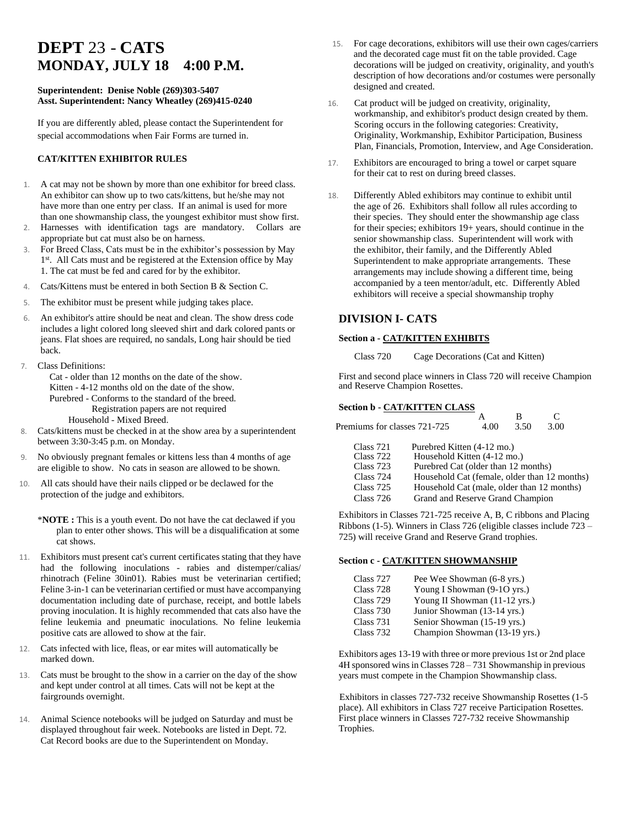# **DEPT** 23 - **CATS MONDAY, JULY 18 4:00 P.M.**

#### **Superintendent: Denise Noble (269)303-5407 Asst. Superintendent: Nancy Wheatley (269)415-0240**

If you are differently abled, please contact the Superintendent for special accommodations when Fair Forms are turned in.

#### **CAT/KITTEN EXHIBITOR RULES**

- 1. A cat may not be shown by more than one exhibitor for breed class. An exhibitor can show up to two cats/kittens, but he/she may not have more than one entry per class. If an animal is used for more than one showmanship class, the youngest exhibitor must show first.
- 2. Harnesses with identification tags are mandatory. Collars are appropriate but cat must also be on harness.
- 3. For Breed Class, Cats must be in the exhibitor's possession by May 1<sup>st</sup>. All Cats must and be registered at the Extension office by May 1. The cat must be fed and cared for by the exhibitor.
- 4. Cats/Kittens must be entered in both Section B & Section C.
- 5. The exhibitor must be present while judging takes place.
- 6. An exhibitor's attire should be neat and clean. The show dress code includes a light colored long sleeved shirt and dark colored pants or jeans. Flat shoes are required, no sandals, Long hair should be tied back.
- 7. Class Definitions:

 Cat - older than 12 months on the date of the show. Kitten - 4-12 months old on the date of the show. Purebred - Conforms to the standard of the breed. Registration papers are not required Household - Mixed Breed.

- 8. Cats/kittens must be checked in at the show area by a superintendent between 3:30-3:45 p.m. on Monday.
- 9. No obviously pregnant females or kittens less than 4 months of age are eligible to show. No cats in season are allowed to be shown.
- 10. All cats should have their nails clipped or be declawed for the protection of the judge and exhibitors.
	- \***NOTE :** This is a youth event. Do not have the cat declawed if you plan to enter other shows. This will be a disqualification at some cat shows.
- 11. Exhibitors must present cat's current certificates stating that they have had the following inoculations - rabies and distemper/calias/ rhinotrach (Feline 30in01). Rabies must be veterinarian certified; Feline 3-in-1 can be veterinarian certified or must have accompanying documentation including date of purchase, receipt, and bottle labels proving inoculation. It is highly recommended that cats also have the feline leukemia and pneumatic inoculations. No feline leukemia positive cats are allowed to show at the fair.
- 12. Cats infected with lice, fleas, or ear mites will automatically be marked down.
- 13. Cats must be brought to the show in a carrier on the day of the show and kept under control at all times. Cats will not be kept at the fairgrounds overnight.
- 14. Animal Science notebooks will be judged on Saturday and must be displayed throughout fair week. Notebooks are listed in Dept. 72. Cat Record books are due to the Superintendent on Monday.
- 15. For cage decorations, exhibitors will use their own cages/carriers and the decorated cage must fit on the table provided. Cage decorations will be judged on creativity, originality, and youth's description of how decorations and/or costumes were personally designed and created.
- 16. Cat product will be judged on creativity, originality, workmanship, and exhibitor's product design created by them. Scoring occurs in the following categories: Creativity, Originality, Workmanship, Exhibitor Participation, Business Plan, Financials, Promotion, Interview, and Age Consideration.
- 17. Exhibitors are encouraged to bring a towel or carpet square for their cat to rest on during breed classes.
- 18. Differently Abled exhibitors may continue to exhibit until the age of 26. Exhibitors shall follow all rules according to their species. They should enter the showmanship age class for their species; exhibitors 19+ years, should continue in the senior showmanship class. Superintendent will work with the exhibitor, their family, and the Differently Abled Superintendent to make appropriate arrangements. These arrangements may include showing a different time, being accompanied by a teen mentor/adult, etc. Differently Abled exhibitors will receive a special showmanship trophy

## **DIVISION I- CATS**

#### **Section a - CAT/KITTEN EXHIBITS**

Class 720 Cage Decorations (Cat and Kitten)

First and second place winners in Class 720 will receive Champion and Reserve Champion Rosettes.

### **Section b - CAT/KITTEN CLASS**

| Premiums for classes 721-725 | 4.OO                                                      | 3.50 | 3.00 |
|------------------------------|-----------------------------------------------------------|------|------|
| Class 721<br>Class 722       | Purebred Kitten (4-12 mo.)<br>Household Kitten (4-12 mo.) |      |      |

| C1000 722 | 1100                                         |
|-----------|----------------------------------------------|
| Class 723 | Purebred Cat (older than 12 months)          |
| Class 724 | Household Cat (female, older than 12 months) |
| Class 725 | Household Cat (male, older than 12 months)   |

Class 726 Grand and Reserve Grand Champion

Exhibitors in Classes 721-725 receive A, B, C ribbons and Placing Ribbons (1-5). Winners in Class 726 (eligible classes include 723 – 725) will receive Grand and Reserve Grand trophies.

#### **Section c - CAT/KITTEN SHOWMANSHIP**

| Class 727 | Pee Wee Showman (6-8 yrs.)    |
|-----------|-------------------------------|
| Class 728 | Young I Showman (9-10 yrs.)   |
| Class 729 | Young II Showman (11-12 yrs.) |
| Class 730 | Junior Showman (13-14 yrs.)   |
| Class 731 | Senior Showman (15-19 yrs.)   |
| Class 732 | Champion Showman (13-19 yrs.) |

Exhibitors ages 13-19 with three or more previous 1st or 2nd place 4H sponsored wins in Classes 728 – 731 Showmanship in previous years must compete in the Champion Showmanship class.

Exhibitors in classes 727-732 receive Showmanship Rosettes (1-5 place). All exhibitors in Class 727 receive Participation Rosettes. First place winners in Classes 727-732 receive Showmanship Trophies.